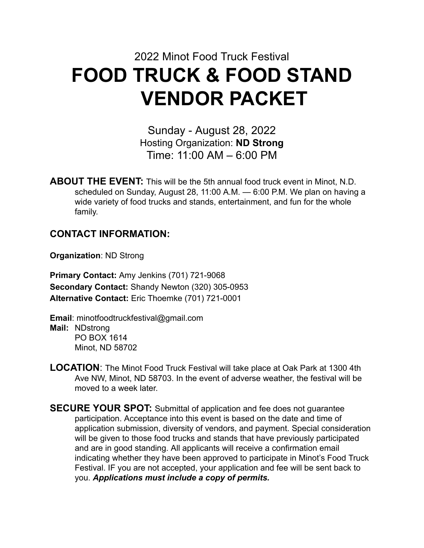# 2022 Minot Food Truck Festival **FOOD TRUCK & FOOD STAND VENDOR PACKET**

Sunday - August 28, 2022 Hosting Organization: **ND Strong** Time: 11:00 AM – 6:00 PM

**ABOUT THE EVENT:** This will be the 5th annual food truck event in Minot, N.D. scheduled on Sunday, August 28, 11:00 A.M. — 6:00 P.M. We plan on having a wide variety of food trucks and stands, entertainment, and fun for the whole family.

### **CONTACT INFORMATION:**

**Organization**: ND Strong

**Primary Contact:** Amy Jenkins (701) 721-9068 **Secondary Contact:** Shandy Newton (320) 305-0953 **Alternative Contact:** Eric Thoemke (701) 721-0001

**Email**: minotfoodtruckfestival@gmail.com **Mail:** NDstrong PO BOX 1614 Minot, ND 58702

**LOCATION**: The Minot Food Truck Festival will take place at Oak Park at 1300 4th Ave NW, Minot, ND 58703. In the event of adverse weather, the festival will be moved to a week later.

**SECURE YOUR SPOT:** Submittal of application and fee does not guarantee participation. Acceptance into this event is based on the date and time of application submission, diversity of vendors, and payment. Special consideration will be given to those food trucks and stands that have previously participated and are in good standing. All applicants will receive a confirmation email indicating whether they have been approved to participate in Minot's Food Truck Festival. IF you are not accepted, your application and fee will be sent back to you. *Applications must include a copy of permits.*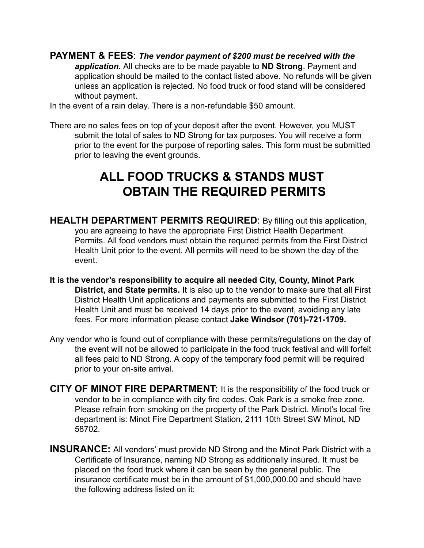**PAYMENT & FEES**: *The vendor payment of \$200 must be received with the application.* All checks are to be made payable to **ND Strong**. Payment and

application should be mailed to the contact listed above. No refunds will be given unless an application is rejected. No food truck or food stand will be considered without payment.

In the event of a rain delay. There is a non-refundable \$50 amount.

There are no sales fees on top of your deposit after the event. However, you MUST submit the total of sales to ND Strong for tax purposes. You will receive a form prior to the event for the purpose of reporting sales. This form must be submitted prior to leaving the event grounds.

## **ALL FOOD TRUCKS & STANDS MUST OBTAIN THE REQUIRED PERMITS**

- **HEALTH DEPARTMENT PERMITS REQUIRED**: By filling out this application, you are agreeing to have the appropriate First District Health Department Permits. All food vendors must obtain the required permits from the First District Health Unit prior to the event. All permits will need to be shown the day of the event.
- **It is the vendor's responsibility to acquire all needed City, County, Minot Park District, and State permits.** It is also up to the vendor to make sure that all First District Health Unit applications and payments are submitted to the First District Health Unit and must be received 14 days prior to the event, avoiding any late fees. For more information please contact **Jake Windsor (701)-721-1709.**
- Any vendor who is found out of compliance with these permits/regulations on the day of the event will not be allowed to participate in the food truck festival and will forfeit all fees paid to ND Strong. A copy of the temporary food permit will be required prior to your on-site arrival.
- **CITY OF MINOT FIRE DEPARTMENT:** It is the responsibility of the food truck or vendor to be in compliance with city fire codes. Oak Park is a smoke free zone. Please refrain from smoking on the property of the Park District. Minot's local fire department is: Minot Fire Department Station, 2111 10th Street SW Minot, ND 58702.
- **INSURANCE:** All vendors' must provide ND Strong and the Minot Park District with a Certificate of Insurance, naming ND Strong as additionally insured. It must be placed on the food truck where it can be seen by the general public. The insurance certificate must be in the amount of \$1,000,000.00 and should have the following address listed on it: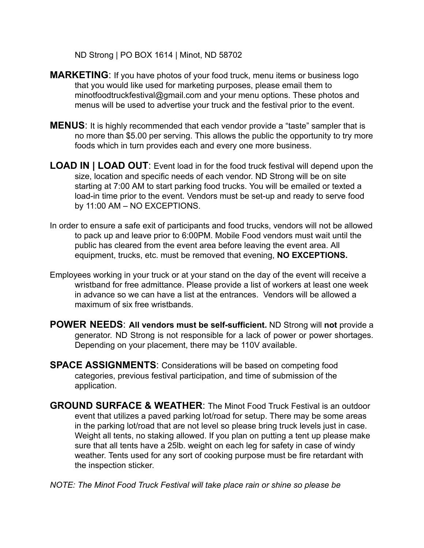ND Strong | PO BOX 1614 | Minot, ND 58702

- **MARKETING:** If you have photos of your food truck, menu items or business logo that you would like used for marketing purposes, please email them to minotfoodtruckfestival@gmail.com and your menu options. These photos and menus will be used to advertise your truck and the festival prior to the event.
- **MENUS**: It is highly recommended that each vendor provide a "taste" sampler that is no more than \$5.00 per serving. This allows the public the opportunity to try more foods which in turn provides each and every one more business.
- **LOAD IN | LOAD OUT**: Event load in for the food truck festival will depend upon the size, location and specific needs of each vendor. ND Strong will be on site starting at 7:00 AM to start parking food trucks. You will be emailed or texted a load-in time prior to the event. Vendors must be set-up and ready to serve food by 11:00 AM – NO EXCEPTIONS.
- In order to ensure a safe exit of participants and food trucks, vendors will not be allowed to pack up and leave prior to 6:00PM. Mobile Food vendors must wait until the public has cleared from the event area before leaving the event area. All equipment, trucks, etc. must be removed that evening, **NO EXCEPTIONS.**
- Employees working in your truck or at your stand on the day of the event will receive a wristband for free admittance. Please provide a list of workers at least one week in advance so we can have a list at the entrances. Vendors will be allowed a maximum of six free wristbands.
- **POWER NEEDS**: **All vendors must be self-sufficient.** ND Strong will **not** provide a generator. ND Strong is not responsible for a lack of power or power shortages. Depending on your placement, there may be 110V available.
- **SPACE ASSIGNMENTS**: Considerations will be based on competing food categories, previous festival participation, and time of submission of the application.
- **GROUND SURFACE & WEATHER**: The Minot Food Truck Festival is an outdoor event that utilizes a paved parking lot/road for setup. There may be some areas in the parking lot/road that are not level so please bring truck levels just in case. Weight all tents, no staking allowed. If you plan on putting a tent up please make sure that all tents have a 25lb. weight on each leg for safety in case of windy weather. Tents used for any sort of cooking purpose must be fire retardant with the inspection sticker.

*NOTE: The Minot Food Truck Festival will take place rain or shine so please be*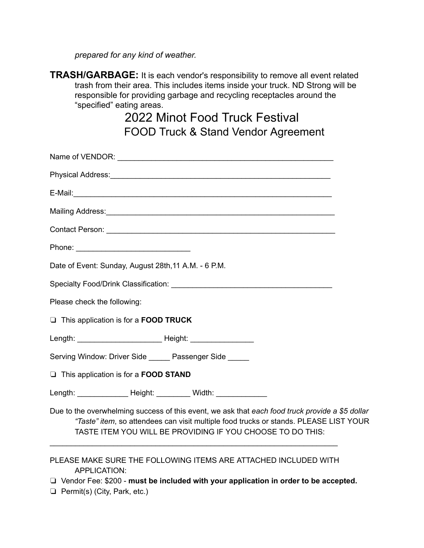*prepared for any kind of weather.*

| TRASH/GARBAGE: It is each vendor's responsibility to remove all event related   |
|---------------------------------------------------------------------------------|
| trash from their area. This includes items inside your truck. ND Strong will be |
| responsible for providing garbage and recycling receptacles around the          |
| "specified" eating areas.                                                       |

### 2022 Minot Food Truck Festival FOOD Truck & Stand Vendor Agreement

| Contact Person: 2008 - 2008 - 2009 - 2009 - 2009 - 2009 - 2009 - 2009 - 2009 - 2009 - 2009 - 2009 - 2009 - 200                                                                                                                                         |  |
|--------------------------------------------------------------------------------------------------------------------------------------------------------------------------------------------------------------------------------------------------------|--|
|                                                                                                                                                                                                                                                        |  |
| Date of Event: Sunday, August 28th, 11 A.M. - 6 P.M.                                                                                                                                                                                                   |  |
|                                                                                                                                                                                                                                                        |  |
| Please check the following:                                                                                                                                                                                                                            |  |
| $\Box$ This application is for a <b>FOOD TRUCK</b>                                                                                                                                                                                                     |  |
|                                                                                                                                                                                                                                                        |  |
| Serving Window: Driver Side Passenger Side                                                                                                                                                                                                             |  |
| This application is for a FOOD STAND                                                                                                                                                                                                                   |  |
| Length: Neight: Netal Midth: Netal Midth:                                                                                                                                                                                                              |  |
| Due to the overwhelming success of this event, we ask that each food truck provide a \$5 dollar<br>"Taste" item, so attendees can visit multiple food trucks or stands. PLEASE LIST YOUR<br>TASTE ITEM YOU WILL BE PROVIDING IF YOU CHOOSE TO DO THIS: |  |
| PLEASE MAKE SURE THE FOLLOWING ITEMS ARE ATTACHED INCLUDED WITH<br>APPLICATION:                                                                                                                                                                        |  |

❏ Vendor Fee: \$200 - **must be included with your application in order to be accepted.**

❏ Permit(s) (City, Park, etc.)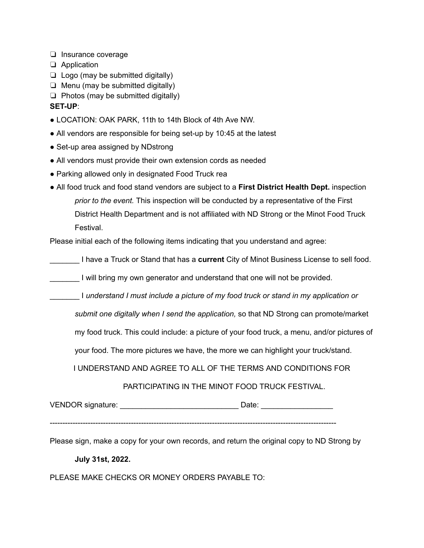- ❏ Insurance coverage
- ❏ Application
- $\Box$  Logo (may be submitted digitally)
- ❏ Menu (may be submitted digitally)
- ❏ Photos (may be submitted digitally)

#### **SET-UP**:

- LOCATION: OAK PARK, 11th to 14th Block of 4th Ave NW.
- All vendors are responsible for being set-up by 10:45 at the latest
- Set-up area assigned by NDstrong
- All vendors must provide their own extension cords as needed
- Parking allowed only in designated Food Truck rea
- All food truck and food stand vendors are subject to a **First District Health Dept.** inspection *prior to the event.* This inspection will be conducted by a representative of the First District Health Department and is not affiliated with ND Strong or the Minot Food Truck Festival.

Please initial each of the following items indicating that you understand and agree:

\_\_\_\_\_\_\_ I have a Truck or Stand that has a **current** City of Minot Business License to sell food.

I will bring my own generator and understand that one will not be provided.

\_\_\_\_\_\_\_ I *understand I must include a picture of my food truck or stand in my application or*

*submit one digitally when I send the application,* so that ND Strong can promote/market

my food truck. This could include: a picture of your food truck, a menu, and/or pictures of

your food. The more pictures we have, the more we can highlight your truck/stand.

I UNDERSTAND AND AGREE TO ALL OF THE TERMS AND CONDITIONS FOR

PARTICIPATING IN THE MINOT FOOD TRUCK FESTIVAL.

VENDOR signature: \_\_\_\_\_\_\_\_\_\_\_\_\_\_\_\_\_\_\_\_\_\_\_\_\_\_\_\_ Date: \_\_\_\_\_\_\_\_\_\_\_\_\_\_\_\_\_

-----------------------------------------------------------------------------------------------------------------

Please sign, make a copy for your own records, and return the original copy to ND Strong by

#### **July 31st, 2022.**

PLEASE MAKE CHECKS OR MONEY ORDERS PAYABLE TO: